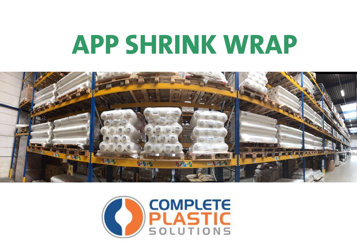# APP SHRINK WRAP



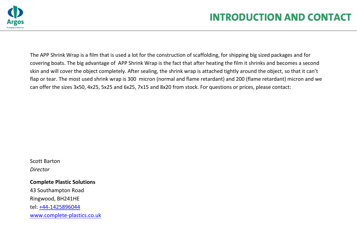

The APP Shrink Wrap is a film that is used a lot for the construction of scaffolding, for shipping big sized packages and for covering boats. The big advantage of APP Shrink Wrap is the fact that after heating the film it shrinks and becomes a second skin and will cover the object completely. After sealing, the shrink wrap is attached tightly around the object, so that it can't flap or tear. The most used shrink wrap is 300 micron (normal and flame retardant) and 200 (flame retardant) micron and we can offer the sizes 3x50, 4x25, 5x25 and 6x25, 7x15 and 8x20 from stock. For questions or prices, please contact:

Scott Barton *Director*

**Complete Plastic Solutions** 43 Southampton Road Ringwood, BH241HE tel: [+44-1425896044](tel:+31%20174%20638%20410) [www.complete-plastics.co.uk](http://www.complete-plastics.co.uk/)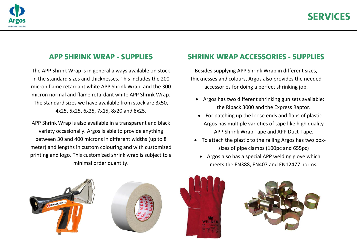

## APP SHRINK WRAP - SUPPLIES

The APP Shrink Wrap is in general always available on stock in the standard sizes and thicknesses. This includes the 200 micron flame retardant white APP Shrink Wrap, and the 300 micron normal and flame retardant white APP Shrink Wrap. The standard sizes we have available from stock are 3x50, 4x25, 5x25, 6x25, 7x15, 8x20 and 8x25.

APP Shrink Wrap is also available in a transparent and black variety occasionally. Argos is able to provide anything between 30 and 400 microns in different widths (up to 8 meter) and lengths in custom colouring and with customized printing and logo. This customized shrink wrap is subject to a minimal order quantity.

## SHRINK WRAP ACCESSORIES - SUPPLIES

Besides supplying APP Shrink Wrap in different sizes, thicknesses and colours, Argos also provides the needed accessories for doing a perfect shrinking job.

- Argos has two different shrinking gun sets available: the Ripack 3000 and the Express Raptor.
- For patching up the loose ends and flaps of plastic Argos has multiple varieties of tape like high quality APP Shrink Wrap Tape and APP Duct-Tape.
- To attach the plastic to the railing Argos has two boxsizes of pipe clamps (100pc and 655pc)
	- Argos also has a special APP welding glove which meets the EN388, EN407 and EN12477 norms.







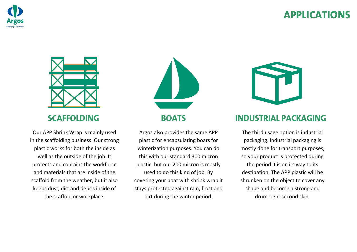

## APPLICATIONS



Our APP Shrink Wrap is mainly used in the scaffolding business. Our strong plastic works for both the inside as well as the outside of the job. It protects and contains the workforce and materials that are inside of the scaffold from the weather, but it also keeps dust, dirt and debris inside of the scaffold or workplace.



Argos also provides the same APP plastic for encapsulating boats for winterization purposes. You can do this with our standard 300 micron plastic, but our 200 micron is mostly used to do this kind of job. By covering your boat with shrink wrap it stays protected against rain, frost and dirt during the winter period.



## SCAFFOLDING BOATS INDUSTRIAL PACKAGING

The third usage option is industrial packaging. Industrial packaging is mostly done for transport purposes, so your product is protected during the period it is on its way to its destination. The APP plastic will be shrunken on the object to cover any shape and become a strong and drum-tight second skin.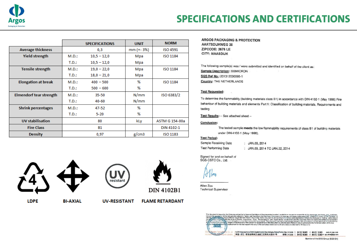

## **SPECIFICATIONS AND CERTIFICATIONS**

|                            |       | <b>SPECIFICATIONS</b> | <b>UNIT</b> | <b>NORM</b>           |
|----------------------------|-------|-----------------------|-------------|-----------------------|
| <b>Average thickness</b>   |       | 0,3                   | mm (+-3%)   | <b>ISO 4591</b>       |
| <b>Yield strength</b>      | M.D.: | $10,5 - 12,0$         | Mpa         | <b>ISO 1184</b>       |
|                            | T.D.: | $10,5 - 12,0$         | Mpa         |                       |
| <b>Tensile strength</b>    | M.D.: | $19,0 - 22,0$         | Mpa         | <b>ISO 1184</b>       |
|                            | T.D.: | $18,0 - 21,0$         | Mpa         |                       |
| <b>Elongation at break</b> | M.D.: | $400 - 500$           | %           | <b>ISO 1184</b>       |
|                            | T.D.: | $500 - 600$           | %           |                       |
| Elmendorf tear strength    | M.D.: | 35-50                 | N/mm        | ISO 6383/2            |
|                            | T.D.: | 40-60                 | N/mm        |                       |
| <b>Shrink percentages</b>  | M.D.: | 47-52                 | %           |                       |
|                            | T.D.: | $5 - 20$              | %           |                       |
| UV stabilisation           |       | 80                    | kLy         | <b>ASTM G 154-00a</b> |
| <b>Fire Class</b>          |       | <b>B1</b>             |             | DIN 4102-1            |
| <b>Density</b>             |       | 0,97                  | g/cm3       | ISO 1183              |

**LDPE** 



**BI-AXIAL** 

resistant



**DIN 4102B1** 

**UV-RESISTANT FLAME RETARDANT**  **ARGOS PACKAGING & PROTECTION AARTSDIJKWEG 35** ZIPCODE: 2676 LE **CITY: MAASDIJK** 

The following sample(s) was / were submitted and identified on behalf of the client as: Sample Description: 300MICRON SGS Ref No.: 201312000095-1 **Country: THE NETHERLANDS** 

#### **Test Requested:**

To determine the flammability (building materials class B1) in accordance with DIN 4102-1 (May 1998) Fire behaviour of building materials and elements Part 1: Classification of building materials, Requirements and testing

Test Results: -- See attached sheet --

#### **Conclusion:**

The tested sample meets the low flammability requirements of class B1 of building materials under DIN 4102-1 (May 1998).

#### **Test Period:**

Sample Receiving Date **Test Performing Date** 

: JAN.09, 2014 : JAN.09, 2014 TO JAN.22, 2014

Signed for and on behalf of SGS-CSTC Co., Ltd.

Allen Zou **Technical Supervisor**